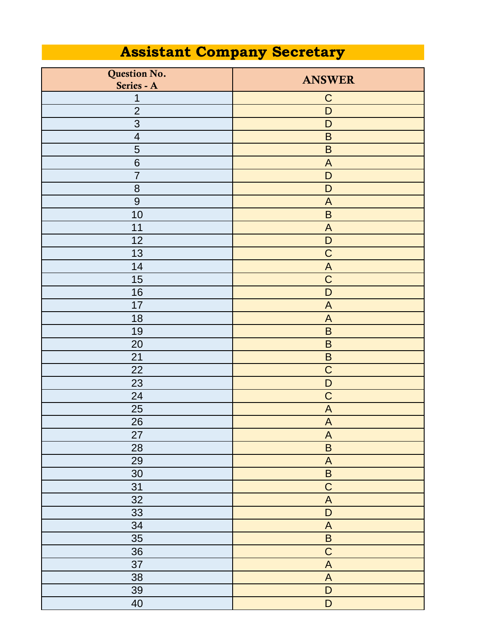## **Assistant Company Secretary**

| Question No.<br>Series - A | <b>ANSWER</b>             |
|----------------------------|---------------------------|
| $\mathbf 1$                | $\mathsf C$               |
| $\overline{2}$             | D                         |
| 3                          | D                         |
| $\overline{\mathcal{A}}$   | $\sf B$                   |
| 5                          | $\sf B$                   |
| $6\phantom{1}6$            | $\boldsymbol{\mathsf{A}}$ |
| $\overline{7}$             | $\mathsf D$               |
| 8                          | $\mathsf D$               |
| $\overline{9}$             | $\boldsymbol{\mathsf{A}}$ |
| 10                         | $\sf B$                   |
| 11                         | $\boldsymbol{\mathsf{A}}$ |
| 12                         | D                         |
| 13                         | $\mathsf C$               |
| 14                         | $\boldsymbol{\mathsf{A}}$ |
| 15                         | $\mathsf C$               |
| 16                         | $\mathsf{D}$              |
| 17                         | $\boldsymbol{\mathsf{A}}$ |
| 18                         | $\boldsymbol{\mathsf{A}}$ |
| 19                         | $\sf B$                   |
| 20                         | $\sf B$                   |
| 21                         | $\sf B$                   |
| 22                         | $\mathsf C$               |
| 23                         | D                         |
| 24                         | $\mathsf C$               |
| 25                         | $\boldsymbol{\mathsf{A}}$ |
| 26                         | $\boldsymbol{\mathsf{A}}$ |
| 27                         | $\overline{A}$            |
| 28                         | $\overline{B}$            |
| 29                         | $\overline{A}$            |
| 30                         | $\overline{B}$            |
| 31                         | $\overline{C}$            |
| 32                         | $\boldsymbol{\mathsf{A}}$ |
| 33                         | $\overline{D}$            |
| 34                         | $\overline{A}$            |
| 35                         | $\overline{\mathsf{B}}$   |
| 36                         | $\overline{C}$            |
| 37                         | $\boldsymbol{\mathsf{A}}$ |
| 38                         | $\overline{A}$            |
| 39                         | $\mathsf D$               |
| 40                         | $\mathsf D$               |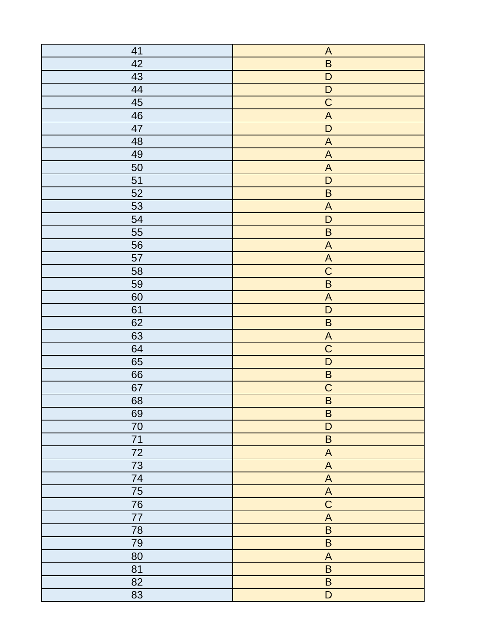| 41 | $\boldsymbol{\mathsf{A}}$                                         |
|----|-------------------------------------------------------------------|
| 42 | $\sf B$                                                           |
| 43 | $\mathsf D$                                                       |
| 44 | $\mathsf D$                                                       |
| 45 | $\overline{C}$                                                    |
| 46 | $\boldsymbol{\mathsf{A}}$                                         |
| 47 | $\overline{D}$                                                    |
| 48 | $\mathsf{A}% _{T}=\mathsf{A}_{T}\!\left( \mathsf{A}_{T}\right) ,$ |
| 49 | $\boldsymbol{\mathsf{A}}$                                         |
| 50 | $\boldsymbol{\mathsf{A}}$                                         |
| 51 | $\mathsf{D}%$                                                     |
| 52 | $\sf B$                                                           |
| 53 | $\boldsymbol{\mathsf{A}}$                                         |
| 54 | $\overline{D}$                                                    |
| 55 | $\sf B$                                                           |
| 56 | $\boldsymbol{\mathsf{A}}$                                         |
| 57 | $\boldsymbol{\mathsf{A}}$                                         |
| 58 | $\overline{C}$                                                    |
| 59 | $\overline{\mathsf{B}}$                                           |
| 60 | $\boldsymbol{\mathsf{A}}$                                         |
| 61 | $\overline{D}$                                                    |
| 62 | $\sf B$                                                           |
| 63 | $\boldsymbol{\mathsf{A}}$                                         |
| 64 | $\overline{C}$                                                    |
| 65 | $\overline{D}$                                                    |
| 66 | $\overline{B}$                                                    |
| 67 | $\overline{C}$                                                    |
| 68 | $\overline{\mathsf{B}}$                                           |
| 69 | $\sf B$                                                           |
| 70 | $\mathsf D$                                                       |
| 71 | $\sf B$                                                           |
| 72 | $\boldsymbol{\mathsf{A}}$                                         |
| 73 | $\boldsymbol{\mathsf{A}}$                                         |
| 74 | $\boldsymbol{\mathsf{A}}$                                         |
| 75 | $\mathsf{A}$                                                      |
| 76 | $\overline{C}$                                                    |
| 77 | $\boldsymbol{\mathsf{A}}$                                         |
| 78 | $\sf B$                                                           |
| 79 | $\sf B$                                                           |
| 80 | $\boldsymbol{\mathsf{A}}$                                         |
| 81 | $\sf B$                                                           |
| 82 | $\sf B$                                                           |
| 83 | $\overline{D}$                                                    |